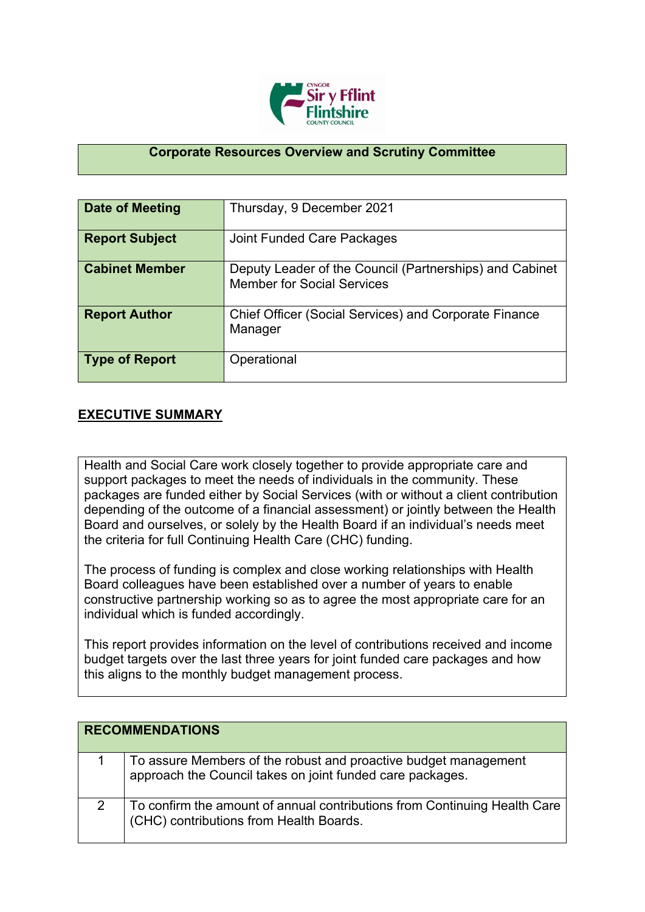

## **Corporate Resources Overview and Scrutiny Committee**

| Date of Meeting       | Thursday, 9 December 2021                                                                    |
|-----------------------|----------------------------------------------------------------------------------------------|
| <b>Report Subject</b> | Joint Funded Care Packages                                                                   |
| <b>Cabinet Member</b> | Deputy Leader of the Council (Partnerships) and Cabinet<br><b>Member for Social Services</b> |
| <b>Report Author</b>  | <b>Chief Officer (Social Services) and Corporate Finance</b><br>Manager                      |
| <b>Type of Report</b> | Operational                                                                                  |

## **EXECUTIVE SUMMARY**

Health and Social Care work closely together to provide appropriate care and support packages to meet the needs of individuals in the community. These packages are funded either by Social Services (with or without a client contribution depending of the outcome of a financial assessment) or jointly between the Health Board and ourselves, or solely by the Health Board if an individual's needs meet the criteria for full Continuing Health Care (CHC) funding.

The process of funding is complex and close working relationships with Health Board colleagues have been established over a number of years to enable constructive partnership working so as to agree the most appropriate care for an individual which is funded accordingly.

This report provides information on the level of contributions received and income budget targets over the last three years for joint funded care packages and how this aligns to the monthly budget management process.

| <b>RECOMMENDATIONS</b> |                                                                                                                              |
|------------------------|------------------------------------------------------------------------------------------------------------------------------|
|                        | To assure Members of the robust and proactive budget management<br>approach the Council takes on joint funded care packages. |
| 2                      | To confirm the amount of annual contributions from Continuing Health Care<br>(CHC) contributions from Health Boards.         |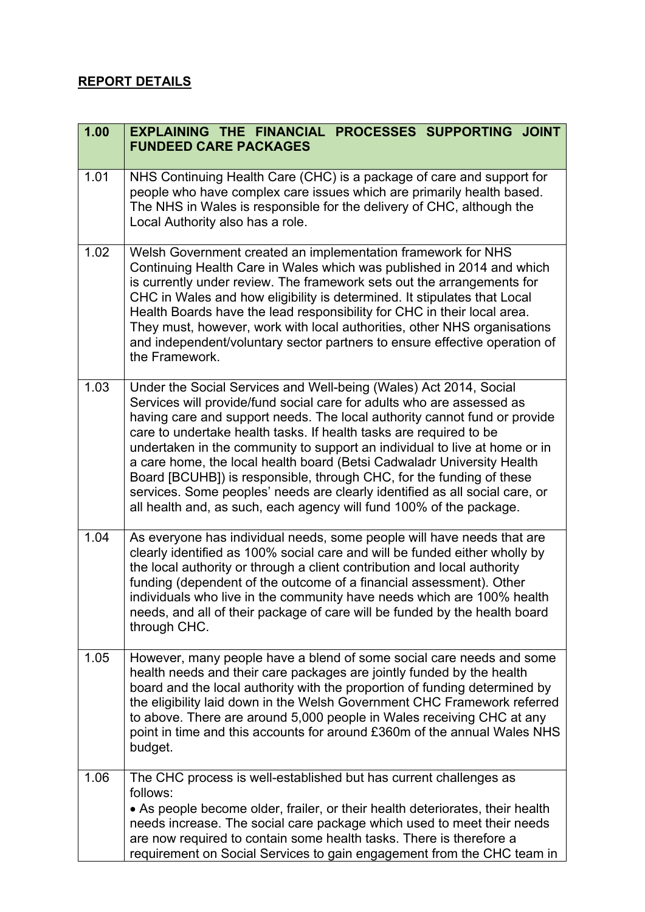## **REPORT DETAILS**

| 1.00 | EXPLAINING THE FINANCIAL PROCESSES SUPPORTING JOINT<br><b>FUNDEED CARE PACKAGES</b>                                                                                                                                                                                                                                                                                                                                                                                                                                                                                                                                                                                                 |
|------|-------------------------------------------------------------------------------------------------------------------------------------------------------------------------------------------------------------------------------------------------------------------------------------------------------------------------------------------------------------------------------------------------------------------------------------------------------------------------------------------------------------------------------------------------------------------------------------------------------------------------------------------------------------------------------------|
| 1.01 | NHS Continuing Health Care (CHC) is a package of care and support for<br>people who have complex care issues which are primarily health based.<br>The NHS in Wales is responsible for the delivery of CHC, although the<br>Local Authority also has a role.                                                                                                                                                                                                                                                                                                                                                                                                                         |
| 1.02 | Welsh Government created an implementation framework for NHS<br>Continuing Health Care in Wales which was published in 2014 and which<br>is currently under review. The framework sets out the arrangements for<br>CHC in Wales and how eligibility is determined. It stipulates that Local<br>Health Boards have the lead responsibility for CHC in their local area.<br>They must, however, work with local authorities, other NHS organisations<br>and independent/voluntary sector partners to ensure effective operation of<br>the Framework.                                                                                                                                  |
| 1.03 | Under the Social Services and Well-being (Wales) Act 2014, Social<br>Services will provide/fund social care for adults who are assessed as<br>having care and support needs. The local authority cannot fund or provide<br>care to undertake health tasks. If health tasks are required to be<br>undertaken in the community to support an individual to live at home or in<br>a care home, the local health board (Betsi Cadwaladr University Health<br>Board [BCUHB]) is responsible, through CHC, for the funding of these<br>services. Some peoples' needs are clearly identified as all social care, or<br>all health and, as such, each agency will fund 100% of the package. |
| 1.04 | As everyone has individual needs, some people will have needs that are<br>clearly identified as 100% social care and will be funded either wholly by<br>the local authority or through a client contribution and local authority<br>funding (dependent of the outcome of a financial assessment). Other<br>individuals who live in the community have needs which are 100% health<br>needs, and all of their package of care will be funded by the health board<br>through CHC.                                                                                                                                                                                                     |
| 1.05 | However, many people have a blend of some social care needs and some<br>health needs and their care packages are jointly funded by the health<br>board and the local authority with the proportion of funding determined by<br>the eligibility laid down in the Welsh Government CHC Framework referred<br>to above. There are around 5,000 people in Wales receiving CHC at any<br>point in time and this accounts for around £360m of the annual Wales NHS<br>budget.                                                                                                                                                                                                             |
| 1.06 | The CHC process is well-established but has current challenges as<br>follows:<br>• As people become older, frailer, or their health deteriorates, their health<br>needs increase. The social care package which used to meet their needs<br>are now required to contain some health tasks. There is therefore a<br>requirement on Social Services to gain engagement from the CHC team in                                                                                                                                                                                                                                                                                           |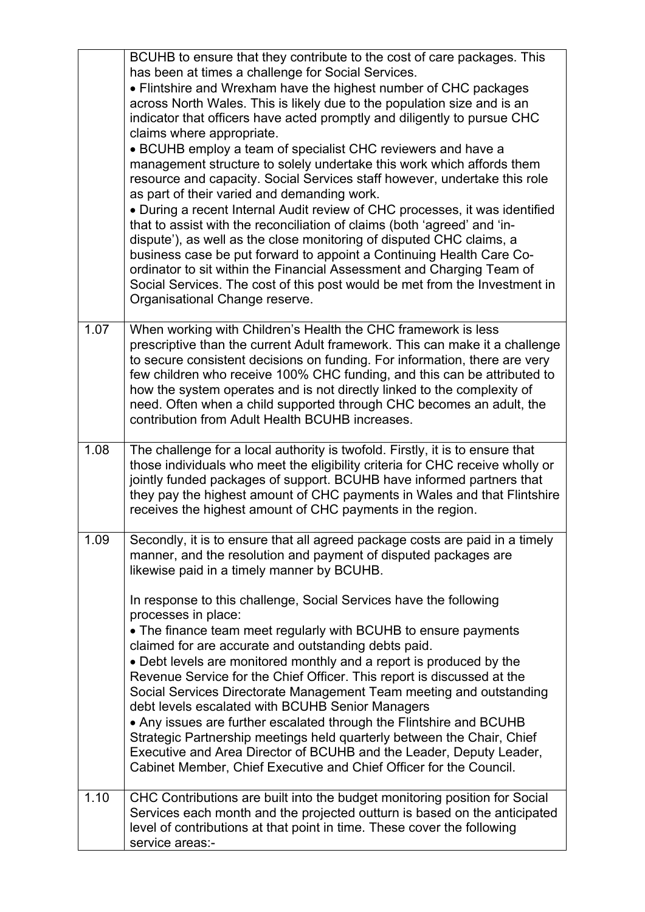|      | BCUHB to ensure that they contribute to the cost of care packages. This<br>has been at times a challenge for Social Services.<br>• Flintshire and Wrexham have the highest number of CHC packages<br>across North Wales. This is likely due to the population size and is an<br>indicator that officers have acted promptly and diligently to pursue CHC<br>claims where appropriate.<br>• BCUHB employ a team of specialist CHC reviewers and have a<br>management structure to solely undertake this work which affords them<br>resource and capacity. Social Services staff however, undertake this role<br>as part of their varied and demanding work.<br>• During a recent Internal Audit review of CHC processes, it was identified<br>that to assist with the reconciliation of claims (both 'agreed' and 'in-<br>dispute'), as well as the close monitoring of disputed CHC claims, a<br>business case be put forward to appoint a Continuing Health Care Co-<br>ordinator to sit within the Financial Assessment and Charging Team of<br>Social Services. The cost of this post would be met from the Investment in |
|------|------------------------------------------------------------------------------------------------------------------------------------------------------------------------------------------------------------------------------------------------------------------------------------------------------------------------------------------------------------------------------------------------------------------------------------------------------------------------------------------------------------------------------------------------------------------------------------------------------------------------------------------------------------------------------------------------------------------------------------------------------------------------------------------------------------------------------------------------------------------------------------------------------------------------------------------------------------------------------------------------------------------------------------------------------------------------------------------------------------------------------|
|      | Organisational Change reserve.                                                                                                                                                                                                                                                                                                                                                                                                                                                                                                                                                                                                                                                                                                                                                                                                                                                                                                                                                                                                                                                                                               |
| 1.07 | When working with Children's Health the CHC framework is less<br>prescriptive than the current Adult framework. This can make it a challenge<br>to secure consistent decisions on funding. For information, there are very<br>few children who receive 100% CHC funding, and this can be attributed to<br>how the system operates and is not directly linked to the complexity of<br>need. Often when a child supported through CHC becomes an adult, the<br>contribution from Adult Health BCUHB increases.                                                                                                                                                                                                                                                                                                                                                                                                                                                                                                                                                                                                                 |
| 1.08 | The challenge for a local authority is twofold. Firstly, it is to ensure that<br>those individuals who meet the eligibility criteria for CHC receive wholly or<br>jointly funded packages of support. BCUHB have informed partners that<br>they pay the highest amount of CHC payments in Wales and that Flintshire<br>receives the highest amount of CHC payments in the region.                                                                                                                                                                                                                                                                                                                                                                                                                                                                                                                                                                                                                                                                                                                                            |
| 1.09 | Secondly, it is to ensure that all agreed package costs are paid in a timely<br>manner, and the resolution and payment of disputed packages are<br>likewise paid in a timely manner by BCUHB.                                                                                                                                                                                                                                                                                                                                                                                                                                                                                                                                                                                                                                                                                                                                                                                                                                                                                                                                |
|      | In response to this challenge, Social Services have the following<br>processes in place:                                                                                                                                                                                                                                                                                                                                                                                                                                                                                                                                                                                                                                                                                                                                                                                                                                                                                                                                                                                                                                     |
|      | • The finance team meet regularly with BCUHB to ensure payments<br>claimed for are accurate and outstanding debts paid.<br>• Debt levels are monitored monthly and a report is produced by the<br>Revenue Service for the Chief Officer. This report is discussed at the<br>Social Services Directorate Management Team meeting and outstanding<br>debt levels escalated with BCUHB Senior Managers<br>• Any issues are further escalated through the Flintshire and BCUHB<br>Strategic Partnership meetings held quarterly between the Chair, Chief<br>Executive and Area Director of BCUHB and the Leader, Deputy Leader,<br>Cabinet Member, Chief Executive and Chief Officer for the Council.                                                                                                                                                                                                                                                                                                                                                                                                                            |
| 1.10 | CHC Contributions are built into the budget monitoring position for Social<br>Services each month and the projected outturn is based on the anticipated<br>level of contributions at that point in time. These cover the following<br>service areas:-                                                                                                                                                                                                                                                                                                                                                                                                                                                                                                                                                                                                                                                                                                                                                                                                                                                                        |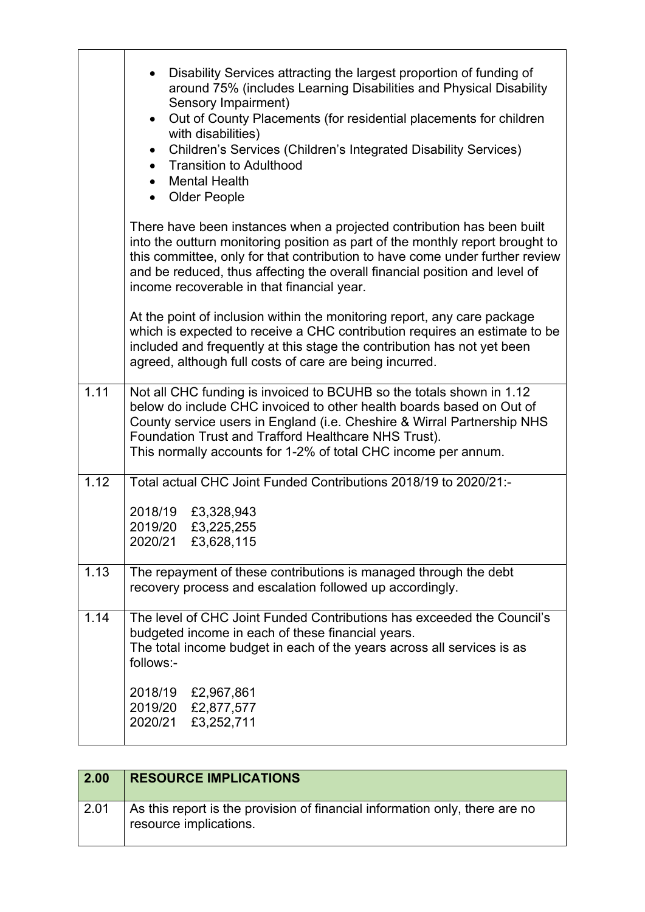|      | Disability Services attracting the largest proportion of funding of<br>around 75% (includes Learning Disabilities and Physical Disability<br>Sensory Impairment)<br>Out of County Placements (for residential placements for children<br>$\bullet$<br>with disabilities)<br>Children's Services (Children's Integrated Disability Services)<br>$\bullet$<br><b>Transition to Adulthood</b><br><b>Mental Health</b><br>$\bullet$<br>Older People |
|------|-------------------------------------------------------------------------------------------------------------------------------------------------------------------------------------------------------------------------------------------------------------------------------------------------------------------------------------------------------------------------------------------------------------------------------------------------|
|      | There have been instances when a projected contribution has been built<br>into the outturn monitoring position as part of the monthly report brought to<br>this committee, only for that contribution to have come under further review<br>and be reduced, thus affecting the overall financial position and level of<br>income recoverable in that financial year.                                                                             |
|      | At the point of inclusion within the monitoring report, any care package<br>which is expected to receive a CHC contribution requires an estimate to be<br>included and frequently at this stage the contribution has not yet been<br>agreed, although full costs of care are being incurred.                                                                                                                                                    |
| 1.11 | Not all CHC funding is invoiced to BCUHB so the totals shown in 1.12<br>below do include CHC invoiced to other health boards based on Out of<br>County service users in England (i.e. Cheshire & Wirral Partnership NHS<br>Foundation Trust and Trafford Healthcare NHS Trust).<br>This normally accounts for 1-2% of total CHC income per annum.                                                                                               |
| 1.12 | Total actual CHC Joint Funded Contributions 2018/19 to 2020/21:-<br>2018/19<br>£3,328,943<br>2019/20<br>£3,225,255<br>2020/21 £3,628,115                                                                                                                                                                                                                                                                                                        |
| 1.13 | The repayment of these contributions is managed through the debt<br>recovery process and escalation followed up accordingly.                                                                                                                                                                                                                                                                                                                    |
| 1.14 | The level of CHC Joint Funded Contributions has exceeded the Council's<br>budgeted income in each of these financial years.<br>The total income budget in each of the years across all services is as<br>follows:-                                                                                                                                                                                                                              |
|      | 2018/19<br>£2,967,861<br>2019/20 £2,877,577<br>2020/21<br>£3,252,711                                                                                                                                                                                                                                                                                                                                                                            |

| 2.00 | <b>RESOURCE IMPLICATIONS</b>                                                                          |
|------|-------------------------------------------------------------------------------------------------------|
| 2.01 | As this report is the provision of financial information only, there are no<br>resource implications. |